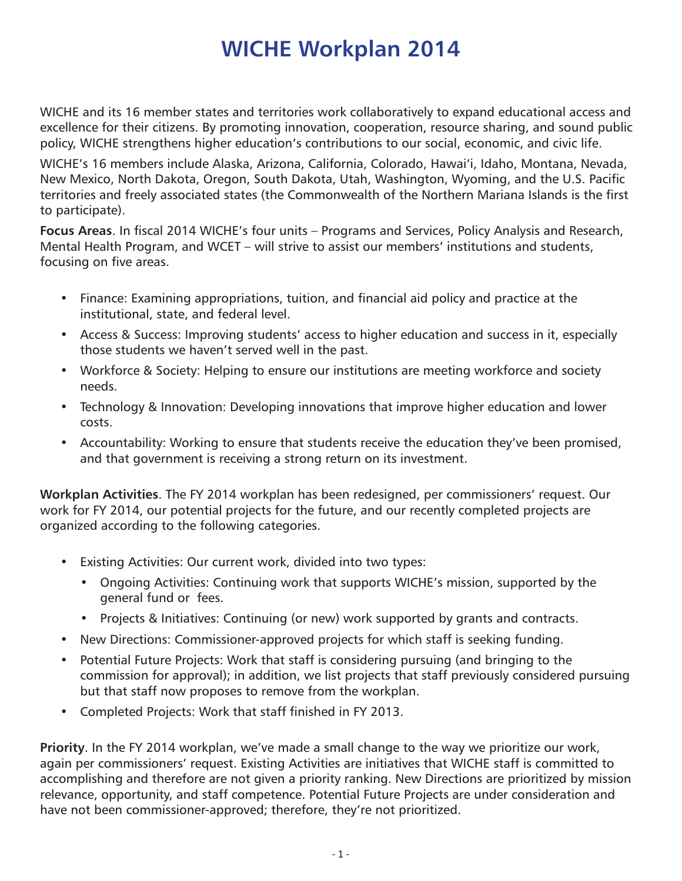# **WICHE Workplan 2014**

WICHE and its 16 member states and territories work collaboratively to expand educational access and excellence for their citizens. By promoting innovation, cooperation, resource sharing, and sound public policy, WICHE strengthens higher education's contributions to our social, economic, and civic life.

WICHE's 16 members include Alaska, Arizona, California, Colorado, Hawai'i, Idaho, Montana, Nevada, New Mexico, North Dakota, Oregon, South Dakota, Utah, Washington, Wyoming, and the U.S. Pacific territories and freely associated states (the Commonwealth of the Northern Mariana Islands is the first to participate).

**Focus Areas**. In fiscal 2014 WICHE's four units – Programs and Services, Policy Analysis and Research, Mental Health Program, and WCET – will strive to assist our members' institutions and students, focusing on five areas.

- Finance: Examining appropriations, tuition, and financial aid policy and practice at the institutional, state, and federal level.
- Access & Success: Improving students' access to higher education and success in it, especially those students we haven't served well in the past.
- Workforce & Society: Helping to ensure our institutions are meeting workforce and society needs.
- Technology & Innovation: Developing innovations that improve higher education and lower costs.
- Accountability: Working to ensure that students receive the education they've been promised, and that government is receiving a strong return on its investment.

**Workplan Activities**. The FY 2014 workplan has been redesigned, per commissioners' request. Our work for FY 2014, our potential projects for the future, and our recently completed projects are organized according to the following categories.

- Existing Activities: Our current work, divided into two types:
	- Ongoing Activities: Continuing work that supports WICHE's mission, supported by the general fund or fees.
	- Projects & Initiatives: Continuing (or new) work supported by grants and contracts.
- New Directions: Commissioner-approved projects for which staff is seeking funding.
- Potential Future Projects: Work that staff is considering pursuing (and bringing to the commission for approval); in addition, we list projects that staff previously considered pursuing but that staff now proposes to remove from the workplan.
- • Completed Projects: Work that staff finished in FY 2013.

**Priority**. In the FY 2014 workplan, we've made a small change to the way we prioritize our work, again per commissioners' request. Existing Activities are initiatives that WICHE staff is committed to accomplishing and therefore are not given a priority ranking. New Directions are prioritized by mission relevance, opportunity, and staff competence. Potential Future Projects are under consideration and have not been commissioner-approved; therefore, they're not prioritized.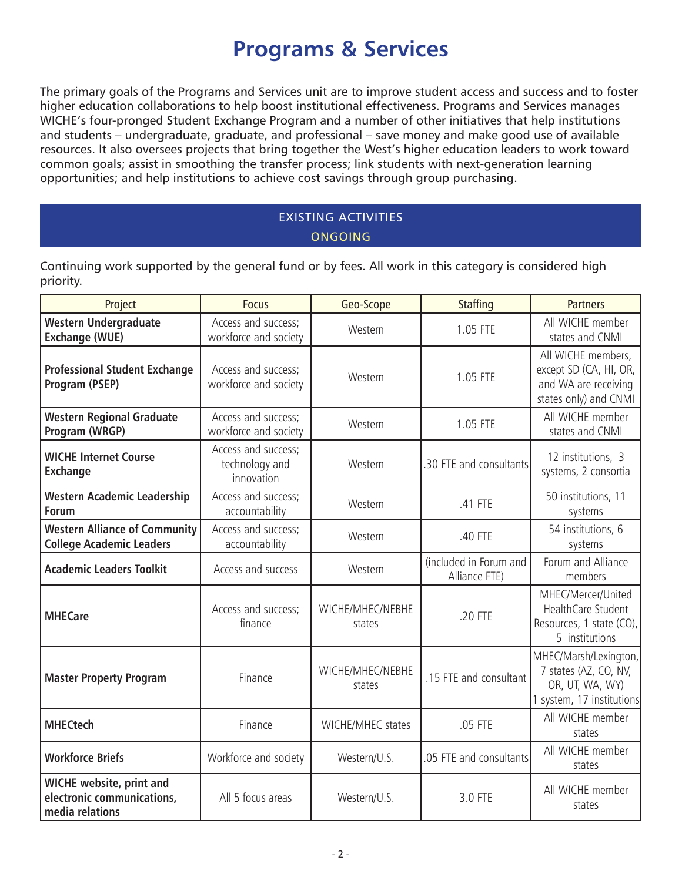# **Programs & Services**

The primary goals of the Programs and Services unit are to improve student access and success and to foster higher education collaborations to help boost institutional effectiveness. Programs and Services manages WICHE's four-pronged Student Exchange Program and a number of other initiatives that help institutions and students – undergraduate, graduate, and professional – save money and make good use of available resources. It also oversees projects that bring together the West's higher education leaders to work toward common goals; assist in smoothing the transfer process; link students with next-generation learning opportunities; and help institutions to achieve cost savings through group purchasing.

## EXISTING ACTIVITIES **ONGOING**

Continuing work supported by the general fund or by fees. All work in this category is considered high priority.

| Project                                                                          | <b>Focus</b>                                        | Geo-Scope                  | <b>Staffing</b>                         | <b>Partners</b>                                                                                |
|----------------------------------------------------------------------------------|-----------------------------------------------------|----------------------------|-----------------------------------------|------------------------------------------------------------------------------------------------|
| <b>Western Undergraduate</b><br><b>Exchange (WUE)</b>                            | Access and success;<br>workforce and society        | Western                    | 1.05 FTE                                | All WICHE member<br>states and CNMI                                                            |
| <b>Professional Student Exchange</b><br>Program (PSEP)                           | Access and success;<br>workforce and society        | Western                    | 1.05 FTE                                | All WICHE members,<br>except SD (CA, HI, OR,<br>and WA are receiving<br>states only) and CNMI  |
| <b>Western Regional Graduate</b><br>Program (WRGP)                               | Access and success;<br>workforce and society        | Western                    | 1.05 FTE                                | All WICHE member<br>states and CNMI                                                            |
| <b>WICHE Internet Course</b><br><b>Exchange</b>                                  | Access and success;<br>technology and<br>innovation | Western                    | .30 FTE and consultants                 | 12 institutions, 3<br>systems, 2 consortia                                                     |
| <b>Western Academic Leadership</b><br><b>Forum</b>                               | Access and success;<br>accountability               | Western                    | .41 FTE                                 | 50 institutions, 11<br>systems                                                                 |
| <b>Western Alliance of Community</b><br><b>College Academic Leaders</b>          | Access and success;<br>accountability               | Western                    | .40 FTE                                 | 54 institutions, 6<br>systems                                                                  |
| <b>Academic Leaders Toolkit</b>                                                  | Access and success                                  | Western                    | (included in Forum and<br>Alliance FTE) | Forum and Alliance<br>members                                                                  |
| <b>MHECare</b>                                                                   | Access and success;<br>finance                      | WICHE/MHEC/NEBHE<br>states | .20 FTE                                 | MHEC/Mercer/United<br>HealthCare Student<br>Resources, 1 state (CO),<br>5 institutions         |
| <b>Master Property Program</b>                                                   | Finance                                             | WICHE/MHEC/NEBHE<br>states | .15 FTE and consultant                  | MHEC/Marsh/Lexington,<br>7 states (AZ, CO, NV,<br>OR, UT, WA, WY)<br>1 system, 17 institutions |
| <b>MHECtech</b>                                                                  | Finance                                             | WICHE/MHEC states          | .05 FTE                                 | All WICHE member<br>states                                                                     |
| <b>Workforce Briefs</b>                                                          | Workforce and society                               | Western/U.S.               | .05 FTE and consultants                 | All WICHE member<br>states                                                                     |
| <b>WICHE website, print and</b><br>electronic communications,<br>media relations | All 5 focus areas                                   | Western/U.S.               | 3.0 FTE                                 | All WICHE member<br>states                                                                     |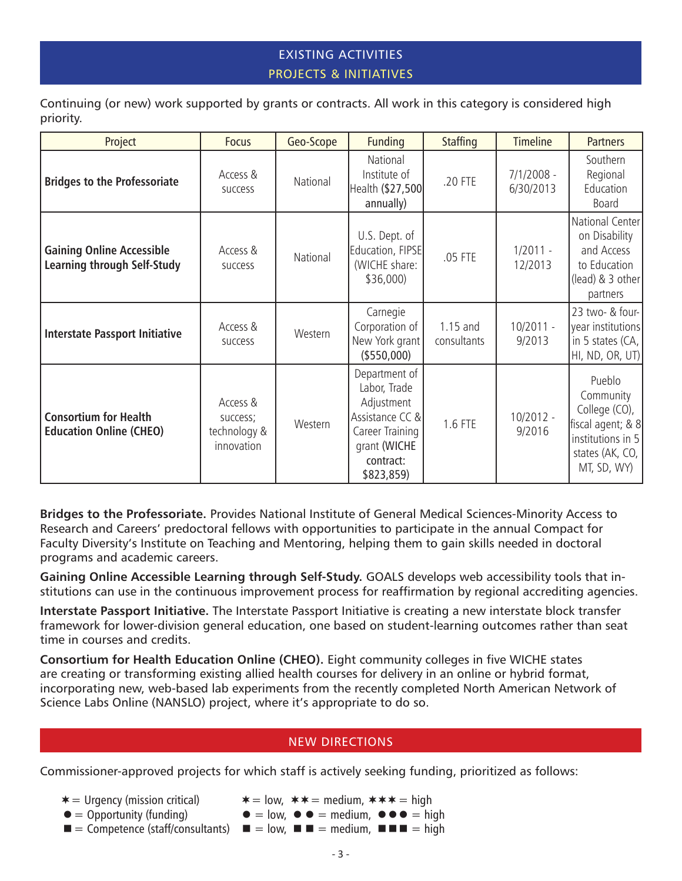## EXISTING ACTIVITIES PROJECTS & INITIATIVES

Continuing (or new) work supported by grants or contracts. All work in this category is considered high priority.

| Project                                                                | <b>Focus</b>                                       | Geo-Scope | <b>Funding</b>                                                                                                               | <b>Staffing</b>           | <b>Timeline</b>           | <b>Partners</b>                                                                                                  |
|------------------------------------------------------------------------|----------------------------------------------------|-----------|------------------------------------------------------------------------------------------------------------------------------|---------------------------|---------------------------|------------------------------------------------------------------------------------------------------------------|
| <b>Bridges to the Professoriate</b>                                    | Access &<br><b>SUCCESS</b>                         | National  | National<br>Institute of<br>Health (\$27,500<br>annually)                                                                    | .20 FTE                   | $7/1/2008 -$<br>6/30/2013 | Southern<br>Regional<br>Education<br>Board                                                                       |
| <b>Gaining Online Accessible</b><br><b>Learning through Self-Study</b> | Access &<br><b>SUCCESS</b>                         | National  | U.S. Dept. of<br>Education, FIPSE<br>(WICHE share:<br>\$36,000)                                                              | .05 FTE                   | $1/2011 -$<br>12/2013     | National Center<br>on Disability<br>and Access<br>to Education<br>$(lead)$ & 3 other<br>partners                 |
| <b>Interstate Passport Initiative</b>                                  | Access &<br><b>SUCCESS</b>                         | Western   | Carnegie<br>Corporation of<br>New York grant<br>(\$550,000)                                                                  | $1.15$ and<br>consultants | $10/2011 -$<br>9/2013     | 23 two- & four-<br>year institutions<br>in 5 states (CA,<br>HI, ND, OR, UT)                                      |
| <b>Consortium for Health</b><br><b>Education Online (CHEO)</b>         | Access &<br>success;<br>technology &<br>innovation | Western   | Department of<br>Labor, Trade<br>Adjustment<br>Assistance CC &<br>Career Training<br>grant (WICHE<br>contract:<br>\$823,859) | 1.6 FTE                   | $10/2012 -$<br>9/2016     | Pueblo<br>Community<br>College (CO),<br>fiscal agent; & 8<br>institutions in 5<br>states (AK, CO,<br>MT, SD, WY) |

**Bridges to the Professoriate.** Provides National Institute of General Medical Sciences-Minority Access to Research and Careers' predoctoral fellows with opportunities to participate in the annual Compact for Faculty Diversity's Institute on Teaching and Mentoring, helping them to gain skills needed in doctoral programs and academic careers.

**Gaining Online Accessible Learning through Self-Study.** GOALS develops web accessibility tools that institutions can use in the continuous improvement process for reaffirmation by regional accrediting agencies.

**Interstate Passport Initiative.** The Interstate Passport Initiative is creating a new interstate block transfer framework for lower-division general education, one based on student-learning outcomes rather than seat time in courses and credits.

**Consortium for Health Education Online (CHEO).** Eight community colleges in five WICHE states are creating or transforming existing allied health courses for delivery in an online or hybrid format, incorporating new, web-based lab experiments from the recently completed North American Network of Science Labs Online (NANSLO) project, where it's appropriate to do so.

### NEW DIRECTIONS

Commissioner-approved projects for which staff is actively seeking funding, prioritized as follows:

- 
- $\ast$  = Urgency (mission critical)  $\ast$  = low,  $\ast \ast$  = medium,  $\ast \ast \ast$  = high
- $\bullet =$  Opportunity (funding)  $\bullet =$  low,  $\bullet =$  medium,  $\bullet \bullet =$  high
- $\blacksquare$  = Competence (staff/consultants)  $\blacksquare$  = low,  $\blacksquare$  = medium,  $\blacksquare$  = high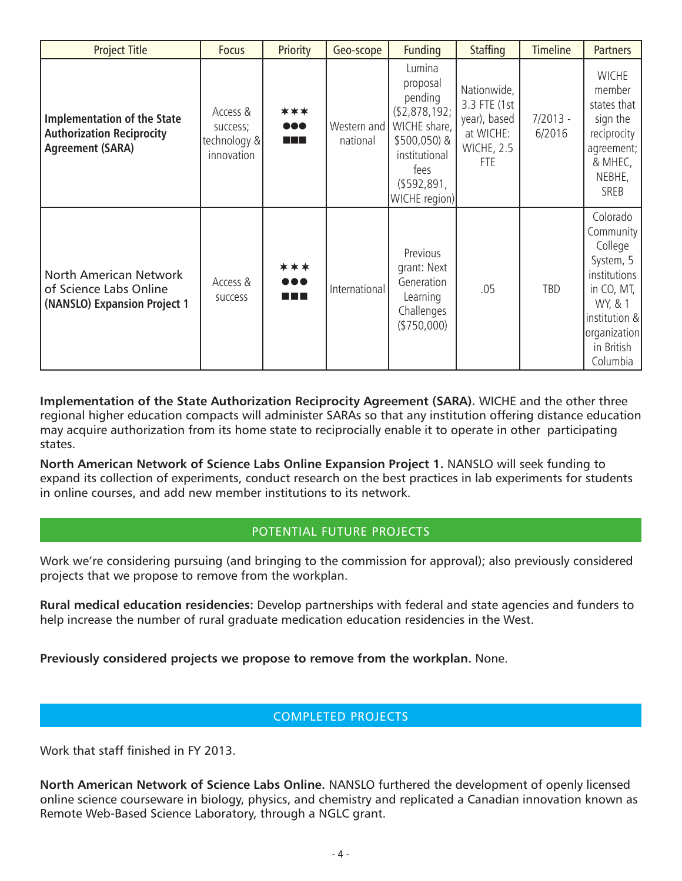| <b>Project Title</b>                                                                              | <b>Focus</b>                                       | Priority            | Geo-scope               | <b>Funding</b>                                                                                                                         | <b>Staffing</b>                                                                      | <b>Timeline</b>      | <b>Partners</b>                                                                                                                                   |
|---------------------------------------------------------------------------------------------------|----------------------------------------------------|---------------------|-------------------------|----------------------------------------------------------------------------------------------------------------------------------------|--------------------------------------------------------------------------------------|----------------------|---------------------------------------------------------------------------------------------------------------------------------------------------|
| <b>Implementation of the State</b><br><b>Authorization Reciprocity</b><br><b>Agreement (SARA)</b> | Access &<br>success;<br>technology &<br>innovation | ***<br>000<br>a pro | Western and<br>national | Lumina<br>proposal<br>pending<br>\$2,878,192;<br>WICHE share,<br>\$500,050) &<br>institutional<br>fees<br>(\$592,891,<br>WICHE region) | Nationwide,<br>3.3 FTE (1st<br>year), based<br>at WICHE:<br>WICHE, 2.5<br><b>FTE</b> | $7/2013 -$<br>6/2016 | <b>WICHE</b><br>member<br>states that<br>sign the<br>reciprocity<br>agreement;<br>& MHEC,<br>NEBHE,<br>SREB                                       |
| North American Network<br>of Science Labs Online<br>(NANSLO) Expansion Project 1                  | Access &<br>success                                | ***<br><br>a a s    | International           | Previous<br>grant: Next<br>Generation<br>Learning<br>Challenges<br>(\$750,000)                                                         | .05                                                                                  | TBD                  | Colorado<br>Community<br>College<br>System, 5<br>institutions<br>in CO, MT,<br>WY, & 1<br>institution &<br>organization<br>in British<br>Columbia |

**Implementation of the State Authorization Reciprocity Agreement (SARA).** WICHE and the other three regional higher education compacts will administer SARAs so that any institution offering distance education may acquire authorization from its home state to reciprocially enable it to operate in other participating states.

**North American Network of Science Labs Online Expansion Project 1.** NANSLO will seek funding to expand its collection of experiments, conduct research on the best practices in lab experiments for students in online courses, and add new member institutions to its network.

### POTENTIAL FUTURE PROJECTS

Work we're considering pursuing (and bringing to the commission for approval); also previously considered projects that we propose to remove from the workplan.

**Rural medical education residencies:** Develop partnerships with federal and state agencies and funders to help increase the number of rural graduate medication education residencies in the West.

**Previously considered projects we propose to remove from the workplan.** None.

### COMPLETED PROJECTS

Work that staff finished in FY 2013.

**North American Network of Science Labs Online.** NANSLO furthered the development of openly licensed online science courseware in biology, physics, and chemistry and replicated a Canadian innovation known as Remote Web-Based Science Laboratory, through a NGLC grant.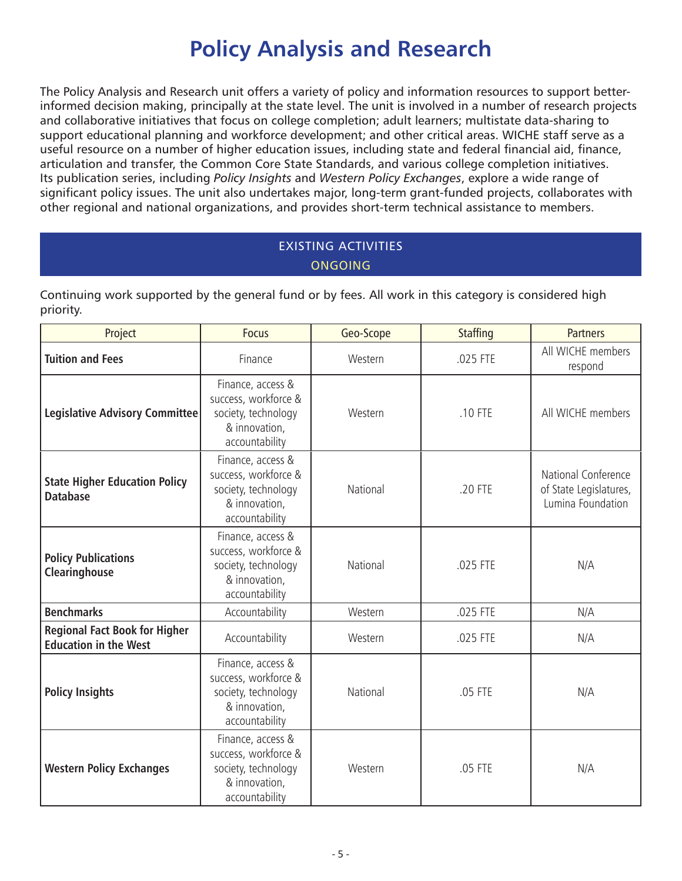# **Policy Analysis and Research**

The Policy Analysis and Research unit offers a variety of policy and information resources to support betterinformed decision making, principally at the state level. The unit is involved in a number of research projects and collaborative initiatives that focus on college completion; adult learners; multistate data-sharing to support educational planning and workforce development; and other critical areas. WICHE staff serve as a useful resource on a number of higher education issues, including state and federal financial aid, finance, articulation and transfer, the Common Core State Standards, and various college completion initiatives. Its publication series, including *Policy Insights* and *Western Policy Exchanges*, explore a wide range of significant policy issues. The unit also undertakes major, long-term grant-funded projects, collaborates with other regional and national organizations, and provides short-term technical assistance to members.

# EXISTING ACTIVITIES ONGOING

Continuing work supported by the general fund or by fees. All work in this category is considered high priority.

| Project                                                              | <b>Focus</b>                                                                                        | Geo-Scope | <b>Staffing</b> | <b>Partners</b>                                                    |
|----------------------------------------------------------------------|-----------------------------------------------------------------------------------------------------|-----------|-----------------|--------------------------------------------------------------------|
| <b>Tuition and Fees</b>                                              | Finance                                                                                             | Western   | .025 FTE        | All WICHE members<br>respond                                       |
| <b>Legislative Advisory Committee</b>                                | Finance, access &<br>success, workforce &<br>society, technology<br>& innovation,<br>accountability | Western   | .10 FTE         | All WICHE members                                                  |
| <b>State Higher Education Policy</b><br><b>Database</b>              | Finance, access &<br>success, workforce &<br>society, technology<br>& innovation,<br>accountability | National  | .20 FTE         | National Conference<br>of State Legislatures,<br>Lumina Foundation |
| <b>Policy Publications</b><br>Clearinghouse                          | Finance, access &<br>success, workforce &<br>society, technology<br>& innovation,<br>accountability | National  | .025 FTE        | N/A                                                                |
| <b>Benchmarks</b>                                                    | Accountability                                                                                      | Western   | .025 FTE        | N/A                                                                |
| <b>Regional Fact Book for Higher</b><br><b>Education in the West</b> | Accountability                                                                                      | Western   | .025 FTE        | N/A                                                                |
| <b>Policy Insights</b>                                               | Finance, access &<br>success, workforce &<br>society, technology<br>& innovation,<br>accountability | National  | .05 FTE         | N/A                                                                |
| <b>Western Policy Exchanges</b>                                      | Finance, access &<br>success, workforce &<br>society, technology<br>& innovation,<br>accountability | Western   | .05 FTE         | N/A                                                                |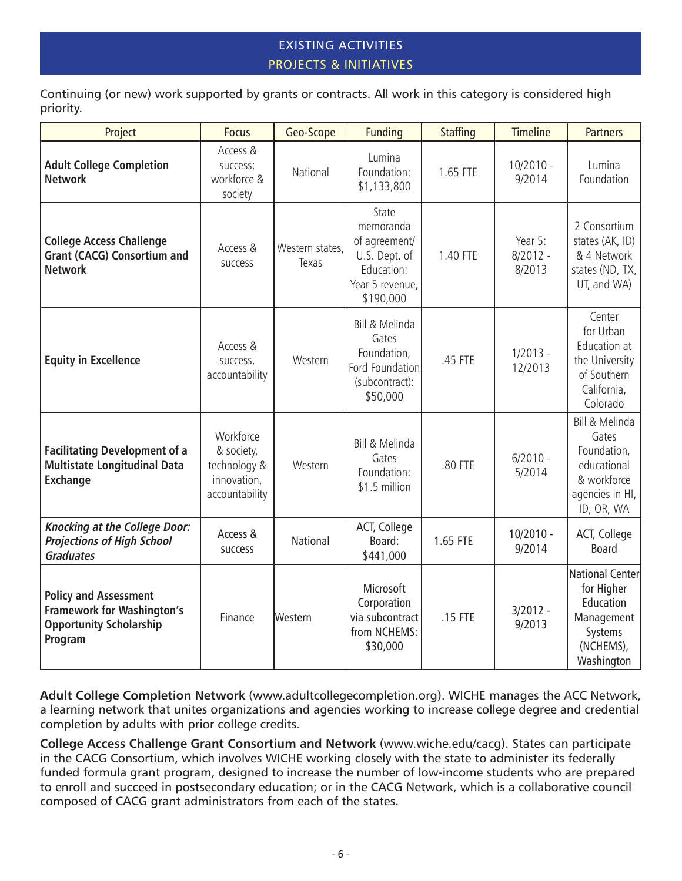## EXISTING ACTIVITIES PROJECTS & INITIATIVES

Continuing (or new) work supported by grants or contracts. All work in this category is considered high priority.

| Project                                                                                                        | <b>Focus</b>                                                             | Geo-Scope                | <b>Funding</b>                                                                                     | <b>Staffing</b> | <b>Timeline</b>                 | <b>Partners</b>                                                                                               |
|----------------------------------------------------------------------------------------------------------------|--------------------------------------------------------------------------|--------------------------|----------------------------------------------------------------------------------------------------|-----------------|---------------------------------|---------------------------------------------------------------------------------------------------------------|
| <b>Adult College Completion</b><br><b>Network</b>                                                              | Access &<br>success;<br>workforce &<br>society                           | National                 | Lumina<br>Foundation:<br>\$1,133,800                                                               | 1.65 FTE        | $10/2010 -$<br>9/2014           | Lumina<br>Foundation                                                                                          |
| <b>College Access Challenge</b><br><b>Grant (CACG) Consortium and</b><br><b>Network</b>                        | Access &<br>success                                                      | Western states,<br>Texas | State<br>memoranda<br>of agreement/<br>U.S. Dept. of<br>Education:<br>Year 5 revenue,<br>\$190,000 | 1.40 FTE        | Year 5:<br>$8/2012 -$<br>8/2013 | 2 Consortium<br>states (AK, ID)<br>& 4 Network<br>states (ND, $TX$ ,<br>UT, and WA)                           |
| <b>Equity in Excellence</b>                                                                                    | Access &<br>success,<br>accountability                                   | Western                  | Bill & Melinda<br>Gates<br>Foundation,<br>Ford Foundation<br>(subcontract):<br>\$50,000            | .45 FTE         | $1/2013 -$<br>12/2013           | Center<br>for Urban<br>Education at<br>the University<br>of Southern<br>California,<br>Colorado               |
| <b>Facilitating Development of a</b><br><b>Multistate Longitudinal Data</b><br><b>Exchange</b>                 | Workforce<br>& society,<br>technology &<br>innovation,<br>accountability | Western                  | Bill & Melinda<br>Gates<br>Foundation:<br>\$1.5 million                                            | .80 FTE         | $6/2010 -$<br>5/2014            | Bill & Melinda<br>Gates<br>Foundation,<br>educational<br>& workforce<br>agencies in HI, $\vert$<br>ID, OR, WA |
| <b>Knocking at the College Door:</b><br><b>Projections of High School</b><br><b>Graduates</b>                  | Access &<br>success                                                      | <b>National</b>          | ACT, College<br>Board:<br>\$441,000                                                                | 1.65 FTE        | $10/2010 -$<br>9/2014           | ACT, College<br><b>Board</b>                                                                                  |
| <b>Policy and Assessment</b><br><b>Framework for Washington's</b><br><b>Opportunity Scholarship</b><br>Program | Finance                                                                  | Western                  | Microsoft<br>Corporation<br>via subcontract<br>from NCHEMS:<br>\$30,000                            | .15 FTE         | $3/2012 -$<br>9/2013            | National Center<br>for Higher<br>Education<br>Management<br>Systems<br>(NCHEMS),<br>Washington                |

**Adult College Completion Network** (www.adultcollegecompletion.org). WICHE manages the ACC Network, a learning network that unites organizations and agencies working to increase college degree and credential completion by adults with prior college credits.

**College Access Challenge Grant Consortium and Network** (www.wiche.edu/cacg). States can participate in the CACG Consortium, which involves WICHE working closely with the state to administer its federally funded formula grant program, designed to increase the number of low-income students who are prepared to enroll and succeed in postsecondary education; or in the CACG Network, which is a collaborative council composed of CACG grant administrators from each of the states.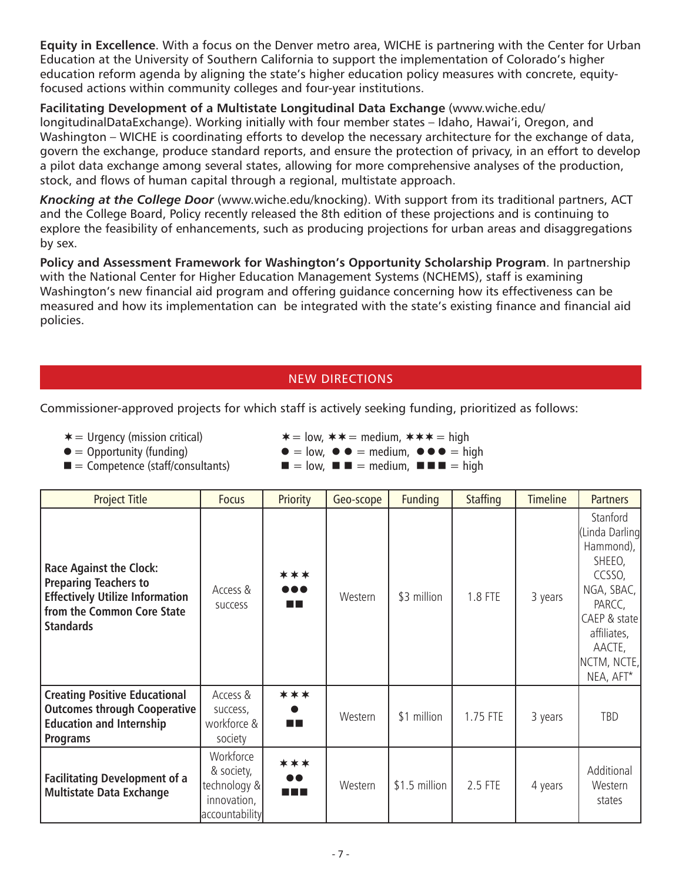**Equity in Excellence**. With a focus on the Denver metro area, WICHE is partnering with the Center for Urban Education at the University of Southern California to support the implementation of Colorado's higher education reform agenda by aligning the state's higher education policy measures with concrete, equityfocused actions within community colleges and four-year institutions.

**Facilitating Development of a Multistate Longitudinal Data Exchange** (www.wiche.edu/ longitudinalDataExchange). Working initially with four member states – Idaho, Hawai'i, Oregon, and Washington – WICHE is coordinating efforts to develop the necessary architecture for the exchange of data, govern the exchange, produce standard reports, and ensure the protection of privacy, in an effort to develop a pilot data exchange among several states, allowing for more comprehensive analyses of the production, stock, and flows of human capital through a regional, multistate approach.

*Knocking at the College Door* (www.wiche.edu/knocking). With support from its traditional partners, ACT and the College Board, Policy recently released the 8th edition of these projections and is continuing to explore the feasibility of enhancements, such as producing projections for urban areas and disaggregations by sex.

**Policy and Assessment Framework for Washington's Opportunity Scholarship Program**. In partnership with the National Center for Higher Education Management Systems (NCHEMS), staff is examining Washington's new financial aid program and offering guidance concerning how its effectiveness can be measured and how its implementation can be integrated with the state's existing finance and financial aid policies.

## NEW DIRECTIONS

Commissioner-approved projects for which staff is actively seeking funding, prioritized as follows:

 $\blacksquare$  = Competence (staff/consultants)  $\blacksquare$  = low,  $\blacksquare$  = medium,  $\blacksquare$   $\blacksquare$  = high

 $* =$  Urgency (mission critical)  $* =$  low,  $* * =$  medium,  $* * * =$  high

 $\bullet$  = Opportunity (funding)  $\bullet$  = low,  $\bullet$  = medium,  $\bullet$   $\bullet$  = high

| <b>Project Title</b>                                                                                                                                       | <b>Focus</b>                                                             | Priority                        | Geo-scope | <b>Funding</b> | <b>Staffing</b> | <b>Timeline</b> | <b>Partners</b>                                                                                                                                         |
|------------------------------------------------------------------------------------------------------------------------------------------------------------|--------------------------------------------------------------------------|---------------------------------|-----------|----------------|-----------------|-----------------|---------------------------------------------------------------------------------------------------------------------------------------------------------|
| <b>Race Against the Clock:</b><br><b>Preparing Teachers to</b><br><b>Effectively Utilize Information</b><br>from the Common Core State<br><b>Standards</b> | Access &<br><b>SUCCESS</b>                                               | ***<br><br>a ka                 | Western   | \$3 million    | 1.8 FTE         | 3 years         | Stanford<br>Linda Darling<br>Hammond),<br>SHEEO,<br>CCSSO,<br>NGA, SBAC,<br>PARCC,<br>CAEP & state<br>affiliates,<br>AACTE,<br>NCTM, NCTE,<br>NEA, AFT* |
| <b>Creating Positive Educational</b><br><b>Outcomes through Cooperative</b><br><b>Education and Internship</b><br><b>Programs</b>                          | Access &<br>success,<br>workforce &<br>society                           | ***<br>n Fi                     | Western   | \$1 million    | 1.75 FTE        | 3 years         | TBD                                                                                                                                                     |
| <b>Facilitating Development of a</b><br><b>Multistate Data Exchange</b>                                                                                    | Workforce<br>& society,<br>technology &<br>innovation,<br>accountability | ***<br>$\bullet\bullet$<br>n pr | Western   | \$1.5 million  | 2.5 FTE         | 4 years         | Additional<br>Western<br>states                                                                                                                         |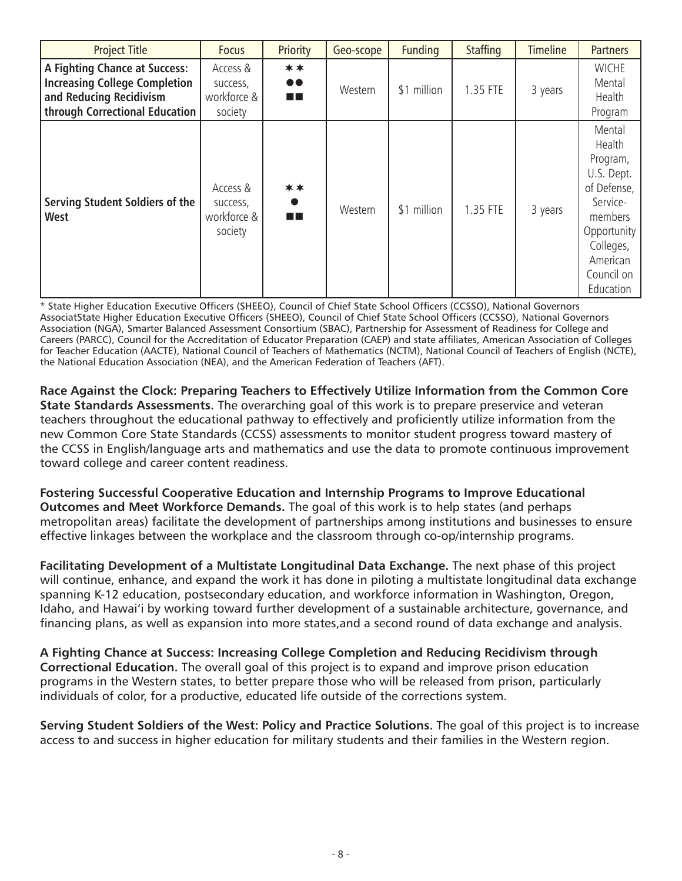| <b>Project Title</b>                                                                                                                      | <b>Focus</b>                                   | Priority                       | Geo-scope | <b>Funding</b> | <b>Staffing</b> | <b>Timeline</b> | <b>Partners</b>                                                                                                                                     |
|-------------------------------------------------------------------------------------------------------------------------------------------|------------------------------------------------|--------------------------------|-----------|----------------|-----------------|-----------------|-----------------------------------------------------------------------------------------------------------------------------------------------------|
| <b>A Fighting Chance at Success:</b><br><b>Increasing College Completion</b><br>and Reducing Recidivism<br>through Correctional Education | Access &<br>success,<br>workforce &<br>society | **<br>$\bullet\bullet$<br>a ka | Western   | \$1 million    | 1.35 FTE        | 3 years         | <b>WICHE</b><br>Mental<br>Health<br>Program                                                                                                         |
| <b>Serving Student Soldiers of the</b><br>West                                                                                            | Access &<br>success,<br>workforce &<br>society | **<br>$\bullet$<br>a ka        | Western   | \$1 million    | 1.35 FTE        | 3 years         | Mental<br>Health<br>Program,<br>U.S. Dept.<br>of Defense,<br>Service-<br>members<br>Opportunity<br>Colleges,<br>American<br>Council on<br>Education |

State Higher Education Executive Officers (SHEEO), Council of Chief State School Officers (CCSSO), National Governors AssociatState Higher Education Executive Officers (SHEEO), Council of Chief State School Officers (CCSSO), National Governors Association (NGA), Smarter Balanced Assessment Consortium (SBAC), Partnership for Assessment of Readiness for College and Careers (PARCC), Council for the Accreditation of Educator Preparation (CAEP) and state affiliates, American Association of Colleges for Teacher Education (AACTE), National Council of Teachers of Mathematics (NCTM), National Council of Teachers of English (NCTE), the National Education Association (NEA), and the American Federation of Teachers (AFT).

**Race Against the Clock: Preparing Teachers to Effectively Utilize Information from the Common Core State Standards Assessments.** The overarching goal of this work is to prepare preservice and veteran teachers throughout the educational pathway to effectively and proficiently utilize information from the new Common Core State Standards (CCSS) assessments to monitor student progress toward mastery of the CCSS in English/language arts and mathematics and use the data to promote continuous improvement toward college and career content readiness.

**Fostering Successful Cooperative Education and Internship Programs to Improve Educational Outcomes and Meet Workforce Demands.** The goal of this work is to help states (and perhaps metropolitan areas) facilitate the development of partnerships among institutions and businesses to ensure effective linkages between the workplace and the classroom through co-op/internship programs.

**Facilitating Development of a Multistate Longitudinal Data Exchange.** The next phase of this project will continue, enhance, and expand the work it has done in piloting a multistate longitudinal data exchange spanning K-12 education, postsecondary education, and workforce information in Washington, Oregon, Idaho, and Hawai'i by working toward further development of a sustainable architecture, governance, and financing plans, as well as expansion into more states,and a second round of data exchange and analysis.

**A Fighting Chance at Success: Increasing College Completion and Reducing Recidivism through Correctional Education.** The overall goal of this project is to expand and improve prison education programs in the Western states, to better prepare those who will be released from prison, particularly individuals of color, for a productive, educated life outside of the corrections system.

**Serving Student Soldiers of the West: Policy and Practice Solutions.** The goal of this project is to increase access to and success in higher education for military students and their families in the Western region.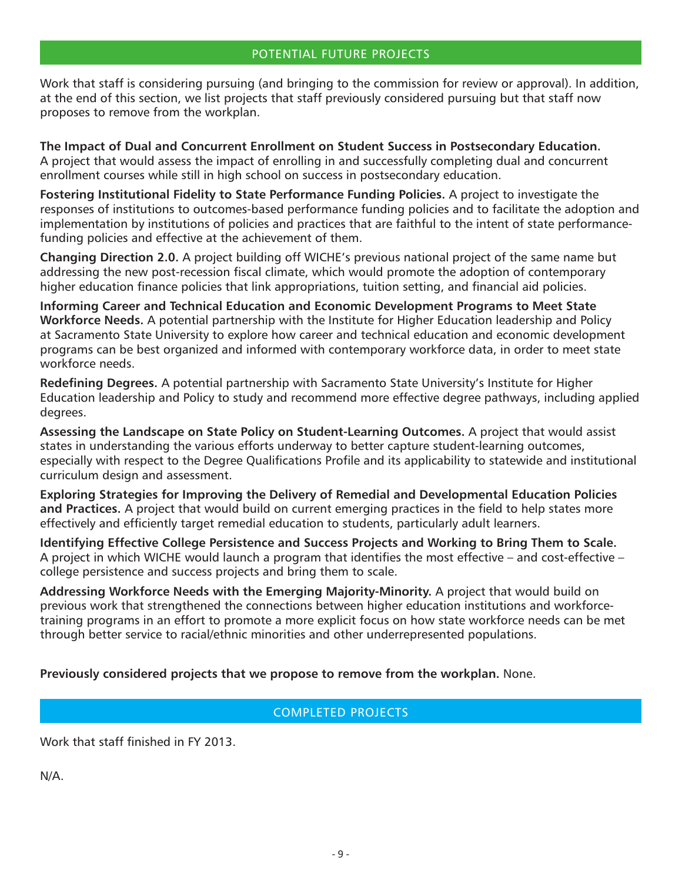Work that staff is considering pursuing (and bringing to the commission for review or approval). In addition, at the end of this section, we list projects that staff previously considered pursuing but that staff now proposes to remove from the workplan.

**The Impact of Dual and Concurrent Enrollment on Student Success in Postsecondary Education.** A project that would assess the impact of enrolling in and successfully completing dual and concurrent enrollment courses while still in high school on success in postsecondary education.

**Fostering Institutional Fidelity to State Performance Funding Policies.** A project to investigate the responses of institutions to outcomes-based performance funding policies and to facilitate the adoption and implementation by institutions of policies and practices that are faithful to the intent of state performancefunding policies and effective at the achievement of them.

**Changing Direction 2.0.** A project building off WICHE's previous national project of the same name but addressing the new post-recession fiscal climate, which would promote the adoption of contemporary higher education finance policies that link appropriations, tuition setting, and financial aid policies.

**Informing Career and Technical Education and Economic Development Programs to Meet State Workforce Needs.** A potential partnership with the Institute for Higher Education leadership and Policy at Sacramento State University to explore how career and technical education and economic development programs can be best organized and informed with contemporary workforce data, in order to meet state workforce needs.

**Redefining Degrees.** A potential partnership with Sacramento State University's Institute for Higher Education leadership and Policy to study and recommend more effective degree pathways, including applied degrees.

**Assessing the Landscape on State Policy on Student-Learning Outcomes.** A project that would assist states in understanding the various efforts underway to better capture student-learning outcomes, especially with respect to the Degree Qualifications Profile and its applicability to statewide and institutional curriculum design and assessment.

**Exploring Strategies for Improving the Delivery of Remedial and Developmental Education Policies and Practices.** A project that would build on current emerging practices in the field to help states more effectively and efficiently target remedial education to students, particularly adult learners.

**Identifying Effective College Persistence and Success Projects and Working to Bring Them to Scale.**  A project in which WICHE would launch a program that identifies the most effective – and cost-effective – college persistence and success projects and bring them to scale.

**Addressing Workforce Needs with the Emerging Majority-Minority.** A project that would build on previous work that strengthened the connections between higher education institutions and workforcetraining programs in an effort to promote a more explicit focus on how state workforce needs can be met through better service to racial/ethnic minorities and other underrepresented populations.

**Previously considered projects that we propose to remove from the workplan.** None.

## COMPLETED PROJECTS

Work that staff finished in FY 2013.

N/A.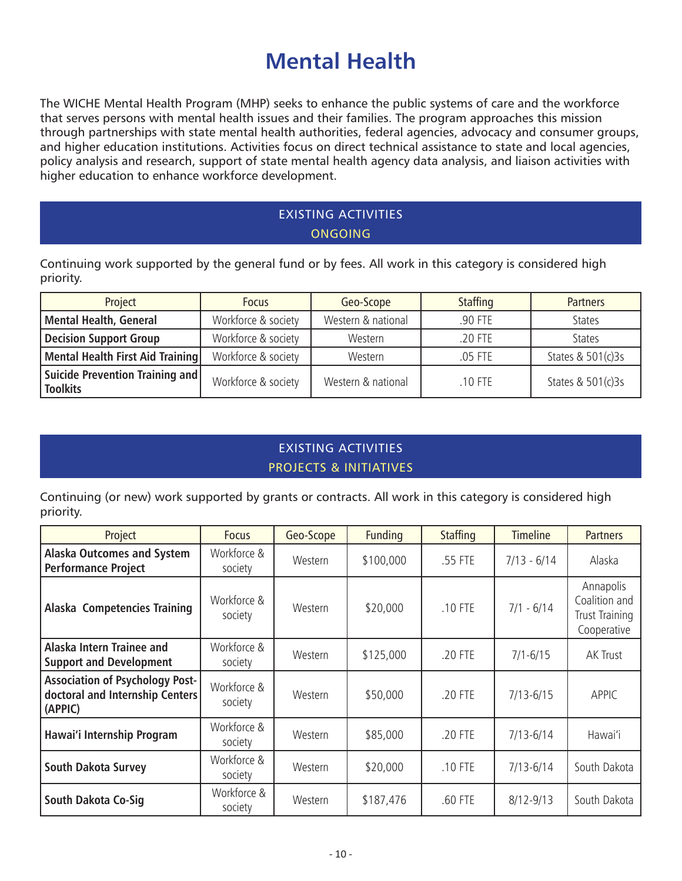# **Mental Health**

The WICHE Mental Health Program (MHP) seeks to enhance the public systems of care and the workforce that serves persons with mental health issues and their families. The program approaches this mission through partnerships with state mental health authorities, federal agencies, advocacy and consumer groups, and higher education institutions. Activities focus on direct technical assistance to state and local agencies, policy analysis and research, support of state mental health agency data analysis, and liaison activities with higher education to enhance workforce development.

## EXISTING ACTIVITIES **ONGOING**

Continuing work supported by the general fund or by fees. All work in this category is considered high priority.

| Project                                            | <b>Focus</b>        | Geo-Scope          | <b>Staffing</b> | <b>Partners</b>   |
|----------------------------------------------------|---------------------|--------------------|-----------------|-------------------|
| <b>Mental Health, General</b>                      | Workforce & society | Western & national | .90 FTE         | <b>States</b>     |
| <b>Decision Support Group</b>                      | Workforce & society | Western            | .20 FTE         | <b>States</b>     |
| Mental Health First Aid Training                   | Workforce & society | Western            | .05 FTE         | States & 501(c)3s |
| Suicide Prevention Training and<br><b>Toolkits</b> | Workforce & society | Western & national | $.10$ FTE       | States & 501(c)3s |

# EXISTING ACTIVITIES PROJECTS & INITIATIVES

Continuing (or new) work supported by grants or contracts. All work in this category is considered high priority.

| Project                                                                              | <b>Focus</b>           | Geo-Scope | <b>Funding</b> | <b>Staffing</b> | <b>Timeline</b> | <b>Partners</b>                                             |
|--------------------------------------------------------------------------------------|------------------------|-----------|----------------|-----------------|-----------------|-------------------------------------------------------------|
| <b>Alaska Outcomes and System</b><br><b>Performance Project</b>                      | Workforce &<br>society | Western   | \$100,000      | .55 FTE         | $7/13 - 6/14$   | Alaska                                                      |
| Alaska Competencies Training                                                         | Workforce &<br>society | Western   | \$20,000       | .10 FTE         | $7/1 - 6/14$    | Annapolis<br>Coalition and<br>Trust Training<br>Cooperative |
| Alaska Intern Trainee and<br><b>Support and Development</b>                          | Workforce &<br>society | Western   | \$125,000      | .20 FTE         | $7/1 - 6/15$    | <b>AK Trust</b>                                             |
| <b>Association of Psychology Post-</b><br>doctoral and Internship Centers<br>(APPIC) | Workforce &<br>society | Western   | \$50,000       | .20 FTE         | $7/13 - 6/15$   | <b>APPIC</b>                                                |
| Hawai'i Internship Program                                                           | Workforce &<br>society | Western   | \$85,000       | .20 FTE         | $7/13 - 6/14$   | Hawai'i                                                     |
| <b>South Dakota Survey</b>                                                           | Workforce &<br>society | Western   | \$20,000       | .10 FTE         | $7/13 - 6/14$   | South Dakota                                                |
| South Dakota Co-Sig                                                                  | Workforce &<br>society | Western   | \$187,476      | .60 FTE         | $8/12 - 9/13$   | South Dakota                                                |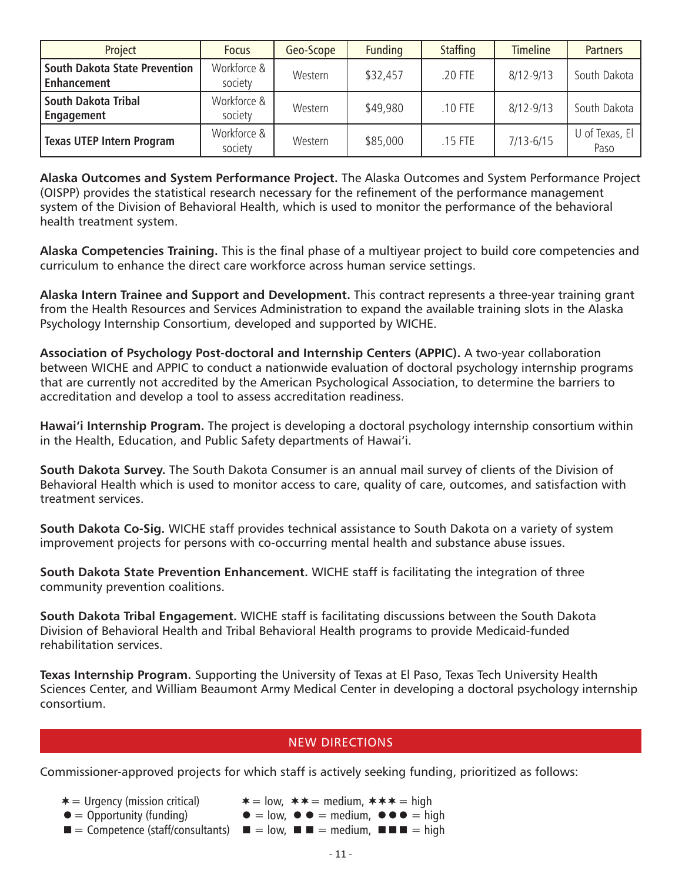| Project                                                    | <b>Focus</b>           | Geo-Scope | <b>Funding</b> | <b>Staffing</b> | <b>Timeline</b> | <b>Partners</b>        |
|------------------------------------------------------------|------------------------|-----------|----------------|-----------------|-----------------|------------------------|
| <b>South Dakota State Prevention</b><br><b>Enhancement</b> | Workforce &<br>society | Western   | \$32,457       | .20 FTE         | $8/12 - 9/13$   | South Dakota           |
| South Dakota Tribal<br>Engagement                          | Workforce &<br>society | Western   | \$49,980       | .10 FTE         | $8/12 - 9/13$   | South Dakota           |
| <b>Texas UTEP Intern Program</b>                           | Workforce &<br>society | Western   | \$85,000       | .15 FTE         | $7/13 - 6/15$   | U of Texas, El<br>Paso |

**Alaska Outcomes and System Performance Project.** The Alaska Outcomes and System Performance Project (OISPP) provides the statistical research necessary for the refinement of the performance management system of the Division of Behavioral Health, which is used to monitor the performance of the behavioral health treatment system.

**Alaska Competencies Training.** This is the final phase of a multiyear project to build core competencies and curriculum to enhance the direct care workforce across human service settings.

**Alaska Intern Trainee and Support and Development.** This contract represents a three-year training grant from the Health Resources and Services Administration to expand the available training slots in the Alaska Psychology Internship Consortium, developed and supported by WICHE.

**Association of Psychology Post-doctoral and Internship Centers (APPIC).** A two-year collaboration between WICHE and APPIC to conduct a nationwide evaluation of doctoral psychology internship programs that are currently not accredited by the American Psychological Association, to determine the barriers to accreditation and develop a tool to assess accreditation readiness.

**Hawai'i Internship Program.** The project is developing a doctoral psychology internship consortium within in the Health, Education, and Public Safety departments of Hawai'i.

**South Dakota Survey.** The South Dakota Consumer is an annual mail survey of clients of the Division of Behavioral Health which is used to monitor access to care, quality of care, outcomes, and satisfaction with treatment services.

**South Dakota Co-Sig.** WICHE staff provides technical assistance to South Dakota on a variety of system improvement projects for persons with co-occurring mental health and substance abuse issues.

**South Dakota State Prevention Enhancement.** WICHE staff is facilitating the integration of three community prevention coalitions.

**South Dakota Tribal Engagement.** WICHE staff is facilitating discussions between the South Dakota Division of Behavioral Health and Tribal Behavioral Health programs to provide Medicaid-funded rehabilitation services.

**Texas Internship Program.** Supporting the University of Texas at El Paso, Texas Tech University Health Sciences Center, and William Beaumont Army Medical Center in developing a doctoral psychology internship consortium.

### NEW DIRECTIONS

Commissioner-approved projects for which staff is actively seeking funding, prioritized as follows:

- 
- $* =$  Urgency (mission critical)  $* = \text{low}, ** = \text{medium}, *** = \text{high}$
- $\bullet =$  Opportunity (funding)  $\bullet =$  low,  $\bullet =$  medium,  $\bullet \bullet =$  high
- $\blacksquare$  = Competence (staff/consultants)  $\blacksquare$  = low,  $\blacksquare$  = medium,  $\blacksquare$  = high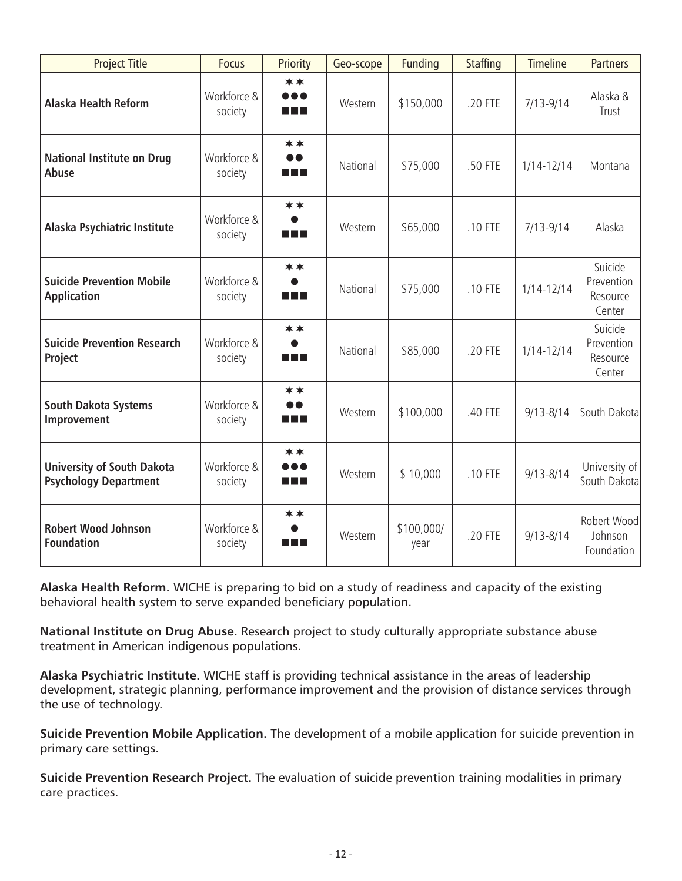| <b>Project Title</b>                                              | <b>Focus</b>           | Priority                         | Geo-scope | <b>Funding</b>     | <b>Staffing</b> | <b>Timeline</b> | <b>Partners</b>                             |
|-------------------------------------------------------------------|------------------------|----------------------------------|-----------|--------------------|-----------------|-----------------|---------------------------------------------|
| <b>Alaska Health Reform</b>                                       | Workforce &<br>society | **<br><br>n di s                 | Western   | \$150,000          | .20 FTE         | $7/13 - 9/14$   | Alaska &<br>Trust                           |
| <b>National Institute on Drug</b><br>Abuse                        | Workforce &<br>society | **<br>$\bullet\bullet$<br>a post | National  | \$75,000           | .50 FTE         | $1/14 - 12/14$  | Montana                                     |
| Alaska Psychiatric Institute                                      | Workforce &<br>society | **<br>n n n                      | Western   | \$65,000           | .10 FTE         | $7/13 - 9/14$   | Alaska                                      |
| <b>Suicide Prevention Mobile</b><br><b>Application</b>            | Workforce &<br>society | **<br>a post                     | National  | \$75,000           | .10 FTE         | $1/14 - 12/14$  | Suicide<br>Prevention<br>Resource<br>Center |
| <b>Suicide Prevention Research</b><br>Project                     | Workforce &<br>society | $***$<br>n n n                   | National  | \$85,000           | .20 FTE         | $1/14 - 12/14$  | Suicide<br>Prevention<br>Resource<br>Center |
| <b>South Dakota Systems</b><br>Improvement                        | Workforce &<br>society | **<br>$\bullet$<br>n n n         | Western   | \$100,000          | .40 FTE         | $9/13 - 8/14$   | South Dakota                                |
| <b>University of South Dakota</b><br><b>Psychology Department</b> | Workforce &<br>society | $***$<br><br>n di s              | Western   | \$10,000           | .10 FTE         | $9/13 - 8/14$   | University of<br>South Dakota               |
| <b>Robert Wood Johnson</b><br><b>Foundation</b>                   | Workforce &<br>society | **<br>$\bullet$<br>a di B        | Western   | \$100,000/<br>year | .20 FTE         | $9/13 - 8/14$   | Robert Wood<br>Johnson<br>Foundation        |

**Alaska Health Reform.** WICHE is preparing to bid on a study of readiness and capacity of the existing behavioral health system to serve expanded beneficiary population.

**National Institute on Drug Abuse.** Research project to study culturally appropriate substance abuse treatment in American indigenous populations.

**Alaska Psychiatric Institute.** WICHE staff is providing technical assistance in the areas of leadership development, strategic planning, performance improvement and the provision of distance services through the use of technology.

**Suicide Prevention Mobile Application.** The development of a mobile application for suicide prevention in primary care settings.

**Suicide Prevention Research Project.** The evaluation of suicide prevention training modalities in primary care practices.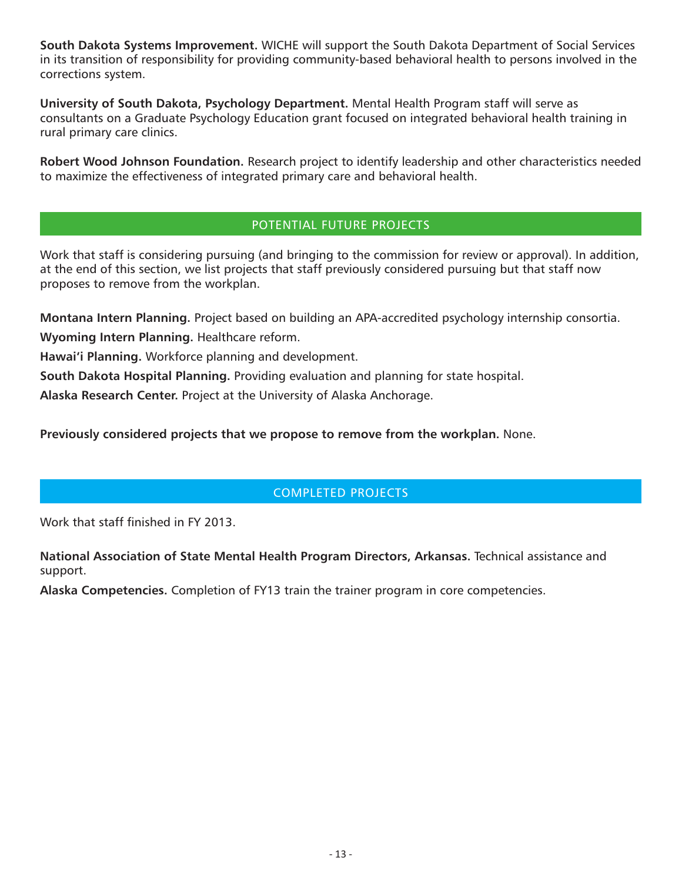**South Dakota Systems Improvement.** WICHE will support the South Dakota Department of Social Services in its transition of responsibility for providing community-based behavioral health to persons involved in the corrections system.

**University of South Dakota, Psychology Department.** Mental Health Program staff will serve as consultants on a Graduate Psychology Education grant focused on integrated behavioral health training in rural primary care clinics.

**Robert Wood Johnson Foundation.** Research project to identify leadership and other characteristics needed to maximize the effectiveness of integrated primary care and behavioral health.

### POTENTIAL FUTURE PROJECTS

Work that staff is considering pursuing (and bringing to the commission for review or approval). In addition, at the end of this section, we list projects that staff previously considered pursuing but that staff now proposes to remove from the workplan.

**Montana Intern Planning.** Project based on building an APA-accredited psychology internship consortia.

**Wyoming Intern Planning.** Healthcare reform.

**Hawai'i Planning.** Workforce planning and development.

**South Dakota Hospital Planning.** Providing evaluation and planning for state hospital.

**Alaska Research Center.** Project at the University of Alaska Anchorage.

**Previously considered projects that we propose to remove from the workplan.** None.

### COMPLETED PROJECTS

Work that staff finished in FY 2013.

**National Association of State Mental Health Program Directors, Arkansas.** Technical assistance and support.

**Alaska Competencies.** Completion of FY13 train the trainer program in core competencies.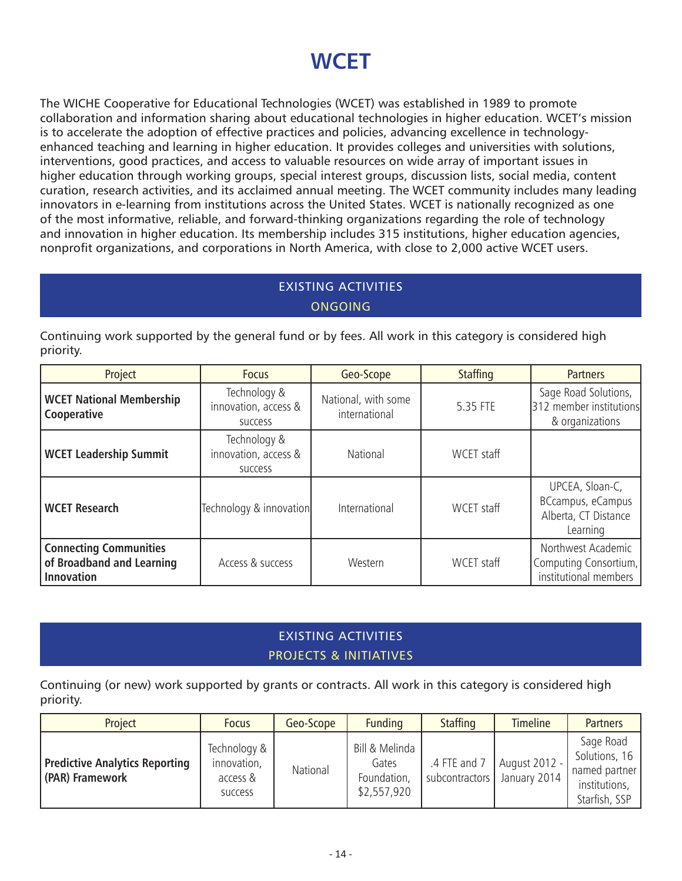# **WCET**

The WICHE Cooperative for Educational Technologies (WCET) was established in 1989 to promote collaboration and information sharing about educational technologies in higher education. WCET's mission is to accelerate the adoption of effective practices and policies, advancing excellence in technologyenhanced teaching and learning in higher education. It provides colleges and universities with solutions, interventions, good practices, and access to valuable resources on wide array of important issues in higher education through working groups, special interest groups, discussion lists, social media, content curation, research activities, and its acclaimed annual meeting. The WCET community includes many leading innovators in e-learning from institutions across the United States. WCET is nationally recognized as one of the most informative, reliable, and forward-thinking organizations regarding the role of technology and innovation in higher education. Its membership includes 315 institutions, higher education agencies, nonprofit organizations, and corporations in North America, with close to 2,000 active WCET users.

## EXISTING ACTIVITIES ONGOING

Continuing work supported by the general fund or by fees. All work in this category is considered high priority.

| Project                                                                         | <b>Focus</b>                                           | Geo-Scope                            | <b>Staffing</b> | <b>Partners</b>                                                          |
|---------------------------------------------------------------------------------|--------------------------------------------------------|--------------------------------------|-----------------|--------------------------------------------------------------------------|
| <b>WCET National Membership</b><br>Cooperative                                  | Technology &<br>innovation, access &<br><b>SUCCESS</b> | National, with some<br>international | 5.35 FTE        | Sage Road Solutions,<br>312 member institutions<br>& organizations       |
| <b>WCET Leadership Summit</b>                                                   | Technology &<br>innovation, access &<br><b>SUCCESS</b> | National                             | WCET staff      |                                                                          |
| <b>WCET Research</b>                                                            | Technology & innovation                                | International                        | WCET staff      | UPCEA, Sloan-C,<br>BCcampus, eCampus<br>Alberta, CT Distance<br>Learning |
| <b>Connecting Communities</b><br>of Broadband and Learning<br><b>Innovation</b> | Access & success                                       | Western                              | WCET staff      | Northwest Academic<br>Computing Consortium,<br>institutional members     |

# EXISTING ACTIVITIES PROJECTS & INITIATIVES

Continuing (or new) work supported by grants or contracts. All work in this category is considered high priority.

| Project                                                  | <b>Focus</b>                                              | Geo-Scope | <b>Funding</b>                                        | <b>Staffing</b>                | <b>Timeline</b>               | <b>Partners</b>                                                               |
|----------------------------------------------------------|-----------------------------------------------------------|-----------|-------------------------------------------------------|--------------------------------|-------------------------------|-------------------------------------------------------------------------------|
| <b>Predictive Analytics Reporting</b><br>(PAR) Framework | Technology &<br>innovation,<br>access &<br><b>SUCCESS</b> | National  | Bill & Melinda<br>Gates<br>Foundation,<br>\$2,557,920 | .4 FTE and 7<br>subcontractors | August 2012 -<br>January 2014 | Sage Road<br>Solutions, 16<br>named partner<br>institutions,<br>Starfish, SSP |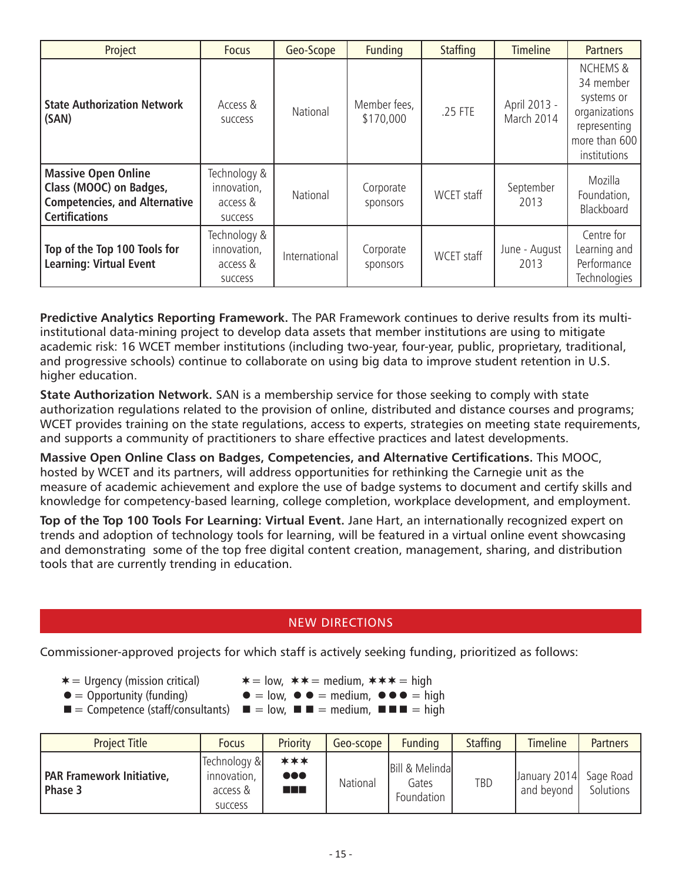| Project                                                                                                                | <b>Focus</b>                                              | Geo-Scope     | <b>Funding</b>            | <b>Staffing</b> | <b>Timeline</b>            | <b>Partners</b>                                                                                                  |
|------------------------------------------------------------------------------------------------------------------------|-----------------------------------------------------------|---------------|---------------------------|-----------------|----------------------------|------------------------------------------------------------------------------------------------------------------|
| <b>State Authorization Network</b><br>(SAN)                                                                            | Access &<br><b>SUCCESS</b>                                | National      | Member fees,<br>\$170,000 | .25 FTE         | April 2013 -<br>March 2014 | <b>NCHEMS &amp;</b><br>34 member<br>systems or<br>organizations<br>representing<br>more than 600<br>institutions |
| <b>Massive Open Online</b><br>Class (MOOC) on Badges,<br><b>Competencies, and Alternative</b><br><b>Certifications</b> | Technology &<br>innovation,<br>access &<br><b>SUCCESS</b> | National      | Corporate<br>sponsors     | WCET staff      | September<br>2013          | Mozilla<br>Foundation,<br>Blackboard                                                                             |
| Top of the Top 100 Tools for<br><b>Learning: Virtual Event</b>                                                         | Technology &<br>innovation,<br>access &<br>success        | International | Corporate<br>sponsors     | WCET staff      | June - August<br>2013      | Centre for<br>Learning and<br>Performance<br>Technologies                                                        |

**Predictive Analytics Reporting Framework.** The PAR Framework continues to derive results from its multiinstitutional data-mining project to develop data assets that member institutions are using to mitigate academic risk: 16 WCET member institutions (including two-year, four-year, public, proprietary, traditional, and progressive schools) continue to collaborate on using big data to improve student retention in U.S. higher education.

**State Authorization Network.** SAN is a membership service for those seeking to comply with state authorization regulations related to the provision of online, distributed and distance courses and programs; WCET provides training on the state regulations, access to experts, strategies on meeting state requirements, and supports a community of practitioners to share effective practices and latest developments.

**Massive Open Online Class on Badges, Competencies, and Alternative Certifications.** This MOOC, hosted by WCET and its partners, will address opportunities for rethinking the Carnegie unit as the measure of academic achievement and explore the use of badge systems to document and certify skills and knowledge for competency-based learning, college completion, workplace development, and employment.

**Top of the Top 100 Tools For Learning: Virtual Event.** Jane Hart, an internationally recognized expert on trends and adoption of technology tools for learning, will be featured in a virtual online event showcasing and demonstrating some of the top free digital content creation, management, sharing, and distribution tools that are currently trending in education.

### NEW DIRECTIONS

Commissioner-approved projects for which staff is actively seeking funding, prioritized as follows:

- 
- $* =$  Urgency (mission critical)  $* =$  low,  $* * =$  medium,  $* * * =$  high
- $\bullet$  = Opportunity (funding)  $\bullet$  = low,  $\bullet$  = medium,  $\bullet$   $\bullet$  = high
- $\blacksquare$  = Competence (staff/consultants)  $\blacksquare$  = low,  $\blacksquare$  = medium,  $\blacksquare$  = high

| <b>Project Title</b>                 | <b>Focus</b>                                              | Priority                                 | Geo-scope | <b>Funding</b>                        | <b>Staffing</b> | <b>Timeline</b>                      | <b>Partners</b> |
|--------------------------------------|-----------------------------------------------------------|------------------------------------------|-----------|---------------------------------------|-----------------|--------------------------------------|-----------------|
| PAR Framework Initiative,<br>Phase 3 | Technology &<br>innovation,<br>access &<br><b>SUCCESS</b> | ***<br>$\bullet\bullet\bullet$<br>a sa s | National  | Bill & Melinda<br>Gates<br>Foundation | <b>TBD</b>      | January 2014 Sage Road<br>and bevond | Solutions       |